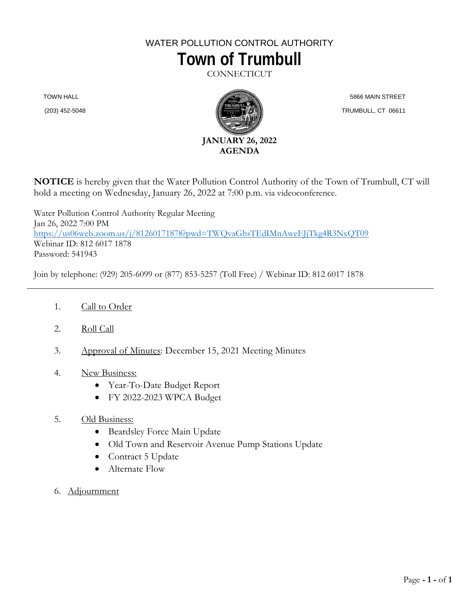# WATER POLLUTION CONTROL AUTHORITY **Town of Trumbull**

**CONNECTICUT** 

TOWN HALL

(203) 452-5048



 5866 MAIN STREET TRUMBULL, CT 06611

**NOTICE** is hereby given that the Water Pollution Control Authority of the Town of Trumbull, CT will hold a meeting on Wednesday, January 26, 2022 at 7:00 p.m. via videoconference.

Water Pollution Control Authority Regular Meeting Jan 26, 2022 7:00 PM <https://us06web.zoom.us/j/81260171878?pwd=TWQvaGhsTEdIMnAweEJjTkg4R3NxQT09> Webinar ID: 812 6017 1878 Password: 541943

Join by telephone: (929) 205-6099 or (877) 853-5257 (Toll Free) / Webinar ID: 812 6017 1878

- 1. Call to Order
- 2. Roll Call
- 3. Approval of Minutes: December 15, 2021 Meeting Minutes
- 4. New Business:
	- Year-To-Date Budget Report
	- FY 2022-2023 WPCA Budget
- 5. Old Business:
	- Beardsley Force Main Update
	- Old Town and Reservoir Avenue Pump Stations Update
	- Contract 5 Update
	- Alternate Flow
- 6. Adjournment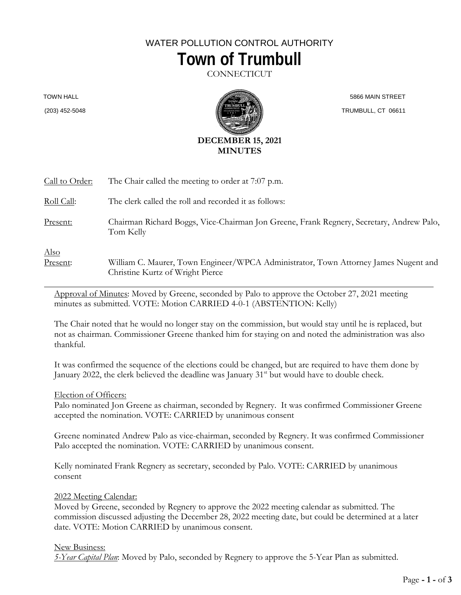## WATER POLLUTION CONTROL AUTHORITY **Town of Trumbull**

**CONNECTICUT** 

TOWN HALL

(203) 452-5048



 5866 MAIN STREET TRUMBULL, CT 06611

| Call to Order:          | The Chair called the meeting to order at 7:07 p.m.                                                                      |
|-------------------------|-------------------------------------------------------------------------------------------------------------------------|
| Roll Call:              | The clerk called the roll and recorded it as follows:                                                                   |
| Present:                | Chairman Richard Boggs, Vice-Chairman Jon Greene, Frank Regnery, Secretary, Andrew Palo,<br>Tom Kelly                   |
| <u>Also</u><br>Present: | William C. Maurer, Town Engineer/WPCA Administrator, Town Attorney James Nugent and<br>Christine Kurtz of Wright Pierce |

Approval of Minutes: Moved by Greene, seconded by Palo to approve the October 27, 2021 meeting minutes as submitted. VOTE: Motion CARRIED 4-0-1 (ABSTENTION: Kelly)

The Chair noted that he would no longer stay on the commission, but would stay until he is replaced, but not as chairman. Commissioner Greene thanked him for staying on and noted the administration was also thankful.

It was confirmed the sequence of the elections could be changed, but are required to have them done by January 2022, the clerk believed the deadline was January 31<sup>st</sup> but would have to double check.

#### Election of Officers:

Palo nominated Jon Greene as chairman, seconded by Regnery. It was confirmed Commissioner Greene accepted the nomination. VOTE: CARRIED by unanimous consent

Greene nominated Andrew Palo as vice-chairman, seconded by Regnery. It was confirmed Commissioner Palo accepted the nomination. VOTE: CARRIED by unanimous consent.

Kelly nominated Frank Regnery as secretary, seconded by Palo. VOTE: CARRIED by unanimous consent

2022 Meeting Calendar:

Moved by Greene, seconded by Regnery to approve the 2022 meeting calendar as submitted. The commission discussed adjusting the December 28, 2022 meeting date, but could be determined at a later date. VOTE: Motion CARRIED by unanimous consent.

#### New Business:

*5-Year Capital Plan*: Moved by Palo, seconded by Regnery to approve the 5-Year Plan as submitted.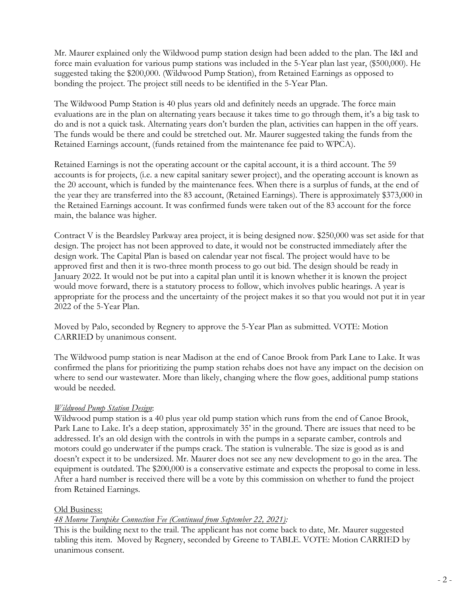Mr. Maurer explained only the Wildwood pump station design had been added to the plan. The I&I and force main evaluation for various pump stations was included in the 5-Year plan last year, (\$500,000). He suggested taking the \$200,000. (Wildwood Pump Station), from Retained Earnings as opposed to bonding the project. The project still needs to be identified in the 5-Year Plan.

The Wildwood Pump Station is 40 plus years old and definitely needs an upgrade. The force main evaluations are in the plan on alternating years because it takes time to go through them, it's a big task to do and is not a quick task. Alternating years don't burden the plan, activities can happen in the off years. The funds would be there and could be stretched out. Mr. Maurer suggested taking the funds from the Retained Earnings account, (funds retained from the maintenance fee paid to WPCA).

Retained Earnings is not the operating account or the capital account, it is a third account. The 59 accounts is for projects, (i.e. a new capital sanitary sewer project), and the operating account is known as the 20 account, which is funded by the maintenance fees. When there is a surplus of funds, at the end of the year they are transferred into the 83 account, (Retained Earnings). There is approximately \$373,000 in the Retained Earnings account. It was confirmed funds were taken out of the 83 account for the force main, the balance was higher.

Contract V is the Beardsley Parkway area project, it is being designed now. \$250,000 was set aside for that design. The project has not been approved to date, it would not be constructed immediately after the design work. The Capital Plan is based on calendar year not fiscal. The project would have to be approved first and then it is two-three month process to go out bid. The design should be ready in January 2022. It would not be put into a capital plan until it is known whether it is known the project would move forward, there is a statutory process to follow, which involves public hearings. A year is appropriate for the process and the uncertainty of the project makes it so that you would not put it in year 2022 of the 5-Year Plan.

Moved by Palo, seconded by Regnery to approve the 5-Year Plan as submitted. VOTE: Motion CARRIED by unanimous consent.

The Wildwood pump station is near Madison at the end of Canoe Brook from Park Lane to Lake. It was confirmed the plans for prioritizing the pump station rehabs does not have any impact on the decision on where to send our wastewater. More than likely, changing where the flow goes, additional pump stations would be needed.

### *Wildwood Pump Station Design*:

Wildwood pump station is a 40 plus year old pump station which runs from the end of Canoe Brook, Park Lane to Lake. It's a deep station, approximately 35' in the ground. There are issues that need to be addressed. It's an old design with the controls in with the pumps in a separate camber, controls and motors could go underwater if the pumps crack. The station is vulnerable. The size is good as is and doesn't expect it to be undersized. Mr. Maurer does not see any new development to go in the area. The equipment is outdated. The \$200,000 is a conservative estimate and expects the proposal to come in less. After a hard number is received there will be a vote by this commission on whether to fund the project from Retained Earnings.

#### Old Business:

#### *48 Monroe Turnpike Connection Fee (Continued from September 22, 2021):*

This is the building next to the trail. The applicant has not come back to date, Mr. Maurer suggested tabling this item. Moved by Regnery, seconded by Greene to TABLE. VOTE: Motion CARRIED by unanimous consent.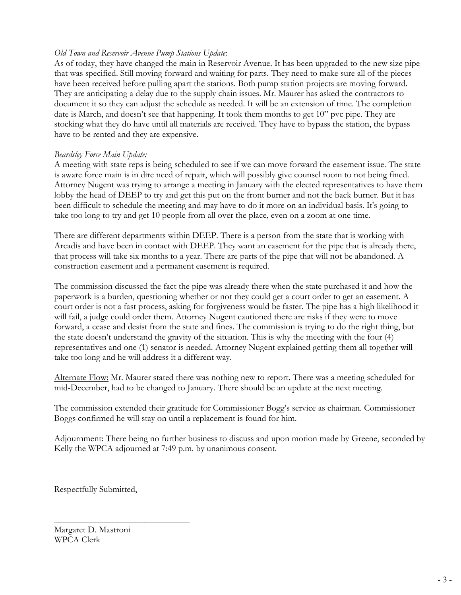## *Old Town and Reservoir Avenue Pump Stations Update*:

As of today, they have changed the main in Reservoir Avenue. It has been upgraded to the new size pipe that was specified. Still moving forward and waiting for parts. They need to make sure all of the pieces have been received before pulling apart the stations. Both pump station projects are moving forward. They are anticipating a delay due to the supply chain issues. Mr. Maurer has asked the contractors to document it so they can adjust the schedule as needed. It will be an extension of time. The completion date is March, and doesn't see that happening. It took them months to get 10" pvc pipe. They are stocking what they do have until all materials are received. They have to bypass the station, the bypass have to be rented and they are expensive.

### *Beardsley Force Main Update:*

A meeting with state reps is being scheduled to see if we can move forward the easement issue. The state is aware force main is in dire need of repair, which will possibly give counsel room to not being fined. Attorney Nugent was trying to arrange a meeting in January with the elected representatives to have them lobby the head of DEEP to try and get this put on the front burner and not the back burner. But it has been difficult to schedule the meeting and may have to do it more on an individual basis. It's going to take too long to try and get 10 people from all over the place, even on a zoom at one time.

There are different departments within DEEP. There is a person from the state that is working with Arcadis and have been in contact with DEEP. They want an easement for the pipe that is already there, that process will take six months to a year. There are parts of the pipe that will not be abandoned. A construction easement and a permanent easement is required.

The commission discussed the fact the pipe was already there when the state purchased it and how the paperwork is a burden, questioning whether or not they could get a court order to get an easement. A court order is not a fast process, asking for forgiveness would be faster. The pipe has a high likelihood it will fail, a judge could order them. Attorney Nugent cautioned there are risks if they were to move forward, a cease and desist from the state and fines. The commission is trying to do the right thing, but the state doesn't understand the gravity of the situation. This is why the meeting with the four (4) representatives and one (1) senator is needed. Attorney Nugent explained getting them all together will take too long and he will address it a different way.

Alternate Flow: Mr. Maurer stated there was nothing new to report. There was a meeting scheduled for mid-December, had to be changed to January. There should be an update at the next meeting.

The commission extended their gratitude for Commissioner Bogg's service as chairman. Commissioner Boggs confirmed he will stay on until a replacement is found for him.

Adjournment: There being no further business to discuss and upon motion made by Greene, seconded by Kelly the WPCA adjourned at 7:49 p.m. by unanimous consent.

Respectfully Submitted,

 $\overline{\phantom{a}}$  , where  $\overline{\phantom{a}}$  , where  $\overline{\phantom{a}}$  , where  $\overline{\phantom{a}}$  ,  $\overline{\phantom{a}}$  ,  $\overline{\phantom{a}}$  ,  $\overline{\phantom{a}}$  ,  $\overline{\phantom{a}}$  ,  $\overline{\phantom{a}}$  ,  $\overline{\phantom{a}}$  ,  $\overline{\phantom{a}}$  ,  $\overline{\phantom{a}}$  ,  $\overline{\phantom{a}}$  ,  $\overline{\phantom{a}}$  ,  $\overline{\phantom$ 

Margaret D. Mastroni WPCA Clerk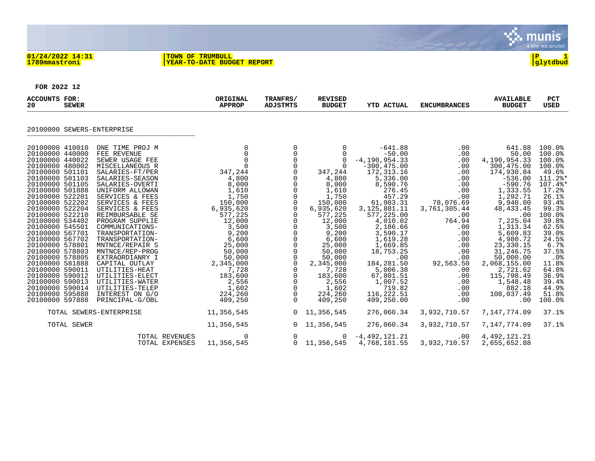

#### **01/24/2022 14:31 |TOWN OF TRUMBULL |P 1 1789mmastroni |YEAR-TO-DATE BUDGET REPORT |glytdbud**



**FOR 2022 12**

| <b>ACCOUNTS FOR:</b><br>20<br><b>SEWER</b>                                                                                                                                                                                                                                                                                                                                                                                                                                                                                                                                                                                                                                                                                                                                                                                                                                                                                                                                                                         | ORIGINAL<br><b>APPROP</b>                                                                                                                                                                                                                                                        | TRANFRS/<br>ADJSTMTS                                                                                                                                                                                                                                                                                                              | <b>REVISED</b><br><b>BUDGET</b>                                                                                                                                                                                                                                     | <b>YTD ACTUAL</b>                                                                                                                                                                                                                                                                                                                               | <b>ENCUMBRANCES</b>                                                                                                                                                                                        | <b>AVAILABLE</b><br><b>BUDGET</b>                                                                                                                                                                                                                                                                                           | <b>PCT</b><br><b>USED</b>                                                                                                                                                                                                                     |
|--------------------------------------------------------------------------------------------------------------------------------------------------------------------------------------------------------------------------------------------------------------------------------------------------------------------------------------------------------------------------------------------------------------------------------------------------------------------------------------------------------------------------------------------------------------------------------------------------------------------------------------------------------------------------------------------------------------------------------------------------------------------------------------------------------------------------------------------------------------------------------------------------------------------------------------------------------------------------------------------------------------------|----------------------------------------------------------------------------------------------------------------------------------------------------------------------------------------------------------------------------------------------------------------------------------|-----------------------------------------------------------------------------------------------------------------------------------------------------------------------------------------------------------------------------------------------------------------------------------------------------------------------------------|---------------------------------------------------------------------------------------------------------------------------------------------------------------------------------------------------------------------------------------------------------------------|-------------------------------------------------------------------------------------------------------------------------------------------------------------------------------------------------------------------------------------------------------------------------------------------------------------------------------------------------|------------------------------------------------------------------------------------------------------------------------------------------------------------------------------------------------------------|-----------------------------------------------------------------------------------------------------------------------------------------------------------------------------------------------------------------------------------------------------------------------------------------------------------------------------|-----------------------------------------------------------------------------------------------------------------------------------------------------------------------------------------------------------------------------------------------|
| 20100000 SEWERS-ENTERPRISE                                                                                                                                                                                                                                                                                                                                                                                                                                                                                                                                                                                                                                                                                                                                                                                                                                                                                                                                                                                         |                                                                                                                                                                                                                                                                                  |                                                                                                                                                                                                                                                                                                                                   |                                                                                                                                                                                                                                                                     |                                                                                                                                                                                                                                                                                                                                                 |                                                                                                                                                                                                            |                                                                                                                                                                                                                                                                                                                             |                                                                                                                                                                                                                                               |
| 20100000 410010<br>ONE TIME PROJ M<br>FEE REVENUE<br>20100000 440000<br>20100000 440022<br>SEWER USAGE FEE<br>20100000 480002<br>MISCELLANEOUS R<br>20100000 501101<br>SALARIES-FT/PER<br>20100000 501103<br>SALARIES-SEASON<br>20100000 501105<br>SALARIES-OVERTI<br>20100000 501888<br>UNIFORM ALLOWAN<br>20100000 522201<br>SERVICES & FEES<br>20100000 522202<br>SERVICES & FEES<br>20100000 522204<br>SERVICES & FEES<br>20100000 522210<br>REIMBURSABLE SE<br>20100000 534402<br>PROGRAM SUPPLIE<br>20100000 545501<br>COMMUNICATIONS-<br>20100000 567701<br>TRANSPORTATION-<br>20100000 567702<br>TRANSPORTATION-<br>20100000 578801<br>MNTNCE/REPAIR S<br>20100000 578803<br>MNTNCE/REP-PROG<br>20100000 578805<br>EXTRAORDIANRY I<br>20100000 581888<br>CAPITAL OUTLAY<br>20100000 590011<br>UTILITIES-HEAT<br>20100000 590012<br>UTILITIES-ELECT<br>20100000 590013<br>UTILITIES-WATER<br>20100000 590014<br>UTILITIES-TELEP<br>20100000 595888<br>INTEREST ON G/O<br>PRINCIPAL-G/OBL<br>20100000 597888 | $\mathbf 0$<br>$\mathbf 0$<br>$\Omega$<br>$\Omega$<br>347,244<br>4,800<br>8,000<br>1,610<br>1,750<br>150,000<br>6,935,620<br>577,225<br>12,000<br>3,500<br>9,200<br>6,600<br>25,000<br>50,000<br>50,000<br>2,345,000<br>7,728<br>183,600<br>2,556<br>1,602<br>224,260<br>409,250 | $\mathbf 0$<br>0<br>$\mathbf 0$<br>$\Omega$<br>0<br>0<br>0<br>$\mathsf 0$<br>$\mathbf 0$<br>$\mathsf 0$<br>$\mathsf{O}\xspace$<br>$\begin{matrix} 0 \\ 0 \end{matrix}$<br>$\mathbf 0$<br>0<br>$\mathsf 0$<br>$\mathsf 0$<br>$\mathbf 0$<br>$\mathbf 0$<br>0<br>$\mathsf 0$<br>$\mathsf{O}\xspace$<br>0<br>$\mathbf 0$<br>$\Omega$ | 0<br>$\Omega$<br>$\Omega$<br>$\Omega$<br>347,244<br>4,800<br>8,000<br>1,610<br>1,750<br>150,000<br>6,935,620<br>577,225<br>12,000<br>3,500<br>9,200<br>6,600<br>25,000<br>50,000<br>50,000<br>2,345,000<br>7,728<br>183,600<br>2,556<br>1,602<br>224,260<br>409,250 | $-641.88$<br>$-50.00$<br>$-4, 190, 954.33$<br>$-300, 475.00$<br>172, 313.16<br>5,336.00<br>8,590.76<br>276.45<br>457.29<br>61,983.31<br>3, 125, 881. 11<br>577,225.00<br>4,010.02<br>2,186.66<br>3,590.17<br>1,619.28<br>1,669.85<br>18,753.25<br>.00<br>184, 281.50<br>5,006.38<br>67,801.51<br>1,007.52<br>719.82<br>116,222.51<br>409,250.00 | .00<br>.00<br>.00<br>.00<br>.00<br>.00<br>.00<br>.00<br>.00<br>78,076.69<br>3,761,305.44<br>.00<br>764.94<br>.00<br>.00<br>.00<br>.00<br>.00<br>.00<br>92,563.50<br>.00<br>.00<br>.00<br>.00<br>.00<br>.00 | 641.88<br>50.00<br>4,190,954.33<br>300,475.00<br>174,930.84<br>$-536.00$<br>$-590.76$<br>1,333.55<br>1,292.71<br>9,940.00<br>48, 433. 45<br>.00<br>7,225.04<br>1,313.34<br>5,609.83<br>4,980.72<br>23,330.15<br>31,246.75<br>50,000.00<br>2,068,155.00<br>2,721.62<br>115,798.49<br>1,548.48<br>882.18<br>108,037.49<br>.00 | 100.0%<br>100.0%<br>100.0%<br>100.0%<br>49.6%<br>111.2%*<br>107.4%*<br>17.2%<br>26.1%<br>93.4%<br>99.3%<br>100.0%<br>39.8%<br>62.5%<br>39.0%<br>24.5%<br>6.7%<br>37.5%<br>.0%<br>11.8%<br>64.8%<br>36.9%<br>39.4%<br>44.9%<br>51.8%<br>100.0% |
| TOTAL SEWERS-ENTERPRISE                                                                                                                                                                                                                                                                                                                                                                                                                                                                                                                                                                                                                                                                                                                                                                                                                                                                                                                                                                                            | 11,356,545                                                                                                                                                                                                                                                                       | 0                                                                                                                                                                                                                                                                                                                                 | 11,356,545                                                                                                                                                                                                                                                          | 276,060.34                                                                                                                                                                                                                                                                                                                                      | 3,932,710.57                                                                                                                                                                                               | 7,147,774.09                                                                                                                                                                                                                                                                                                                | 37.1%                                                                                                                                                                                                                                         |
| TOTAL SEWER                                                                                                                                                                                                                                                                                                                                                                                                                                                                                                                                                                                                                                                                                                                                                                                                                                                                                                                                                                                                        | 11,356,545                                                                                                                                                                                                                                                                       | $\mathbf{0}$                                                                                                                                                                                                                                                                                                                      | 11,356,545                                                                                                                                                                                                                                                          | 276,060.34                                                                                                                                                                                                                                                                                                                                      | 3,932,710.57                                                                                                                                                                                               | 7,147,774.09                                                                                                                                                                                                                                                                                                                | 37.1%                                                                                                                                                                                                                                         |
| <b>TOTAL REVENUES</b><br>TOTAL EXPENSES                                                                                                                                                                                                                                                                                                                                                                                                                                                                                                                                                                                                                                                                                                                                                                                                                                                                                                                                                                            | 0<br>11,356,545                                                                                                                                                                                                                                                                  | 0<br>$\mathbf 0$                                                                                                                                                                                                                                                                                                                  | 0<br>11,356,545                                                                                                                                                                                                                                                     | $-4,492,121.21$<br>4,768,181.55                                                                                                                                                                                                                                                                                                                 | $.00 \ \rm$<br>3,932,710.57                                                                                                                                                                                | 4,492,121.21<br>2,655,652.88                                                                                                                                                                                                                                                                                                |                                                                                                                                                                                                                                               |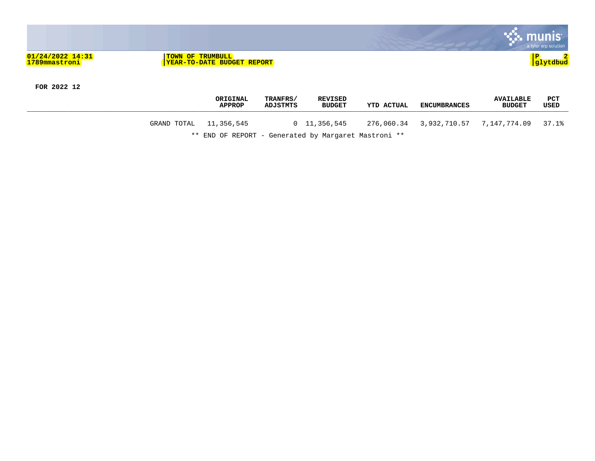

**FOR 2022 12**

|                        | ORIGINAL<br><b>APPROP</b>                            | TRANFRS/<br>ADJSTMTS | <b>REVISED</b><br><b>BUDGET</b> | YTD ACTUAL | ENCUMBRANCES | <b>AVAILABLE</b><br><b>BUDGET</b> | PCT<br>USED |
|------------------------|------------------------------------------------------|----------------------|---------------------------------|------------|--------------|-----------------------------------|-------------|
| GRAND TOTAL 11,356,545 |                                                      |                      | $0\quad 11,356,545$             |            |              |                                   | 37.1%       |
|                        | ** END OF REPORT - Generated by Margaret Mastroni ** |                      |                                 |            |              |                                   |             |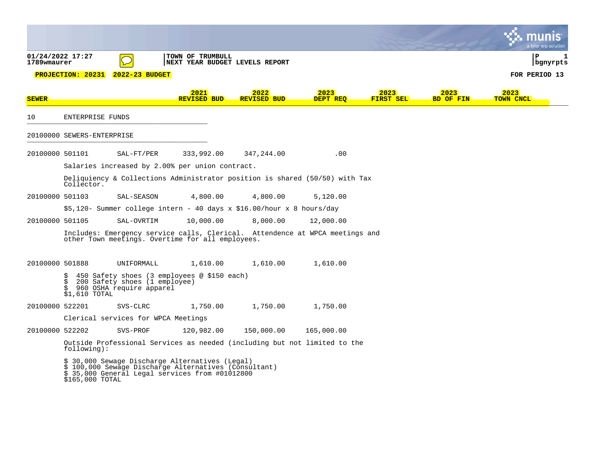|                                 |                               |                                                           |                                                                                                                                                             |                                                                       |                                                                               |                   |                          | ı tvler ero solutior            |   |
|---------------------------------|-------------------------------|-----------------------------------------------------------|-------------------------------------------------------------------------------------------------------------------------------------------------------------|-----------------------------------------------------------------------|-------------------------------------------------------------------------------|-------------------|--------------------------|---------------------------------|---|
| 01/24/2022 17:27<br>1789wmaurer | <b>PROJECTION: 20231</b>      | 2022-23 BUDGET                                            | TOWN OF TRUMBULL<br>NEXT YEAR BUDGET LEVELS REPORT                                                                                                          |                                                                       |                                                                               |                   |                          | ΙP<br>bgnyrpts<br>FOR PERIOD 13 | 1 |
| <b>SEWER</b>                    |                               |                                                           | 2021<br><b>REVISED BUD</b>                                                                                                                                  | 2022<br><b>REVISED BUD</b>                                            | 2023<br>DEPT REO                                                              | 2023<br>FIRST SEL | 2023<br><b>BD OF FIN</b> | 2023<br>TOWN CNCL               |   |
| 10                              | ENTERPRISE FUNDS              |                                                           |                                                                                                                                                             |                                                                       |                                                                               |                   |                          |                                 |   |
|                                 | 20100000 SEWERS-ENTERPRISE    |                                                           |                                                                                                                                                             |                                                                       |                                                                               |                   |                          |                                 |   |
| 20100000 501101                 |                               | SAL-FT/PER                                                | 333,992.00                                                                                                                                                  | 347,244.00                                                            | .00                                                                           |                   |                          |                                 |   |
|                                 |                               |                                                           | Salaries increased by 2.00% per union contract.                                                                                                             |                                                                       |                                                                               |                   |                          |                                 |   |
|                                 | Collector.                    |                                                           |                                                                                                                                                             |                                                                       | Deliquiency & Collections Administrator position is shared $(50/50)$ with Tax |                   |                          |                                 |   |
| 20100000 501103                 |                               | SAL-SEASON                                                | 4,800.00                                                                                                                                                    | 4,800.00                                                              | 5,120.00                                                                      |                   |                          |                                 |   |
|                                 |                               |                                                           |                                                                                                                                                             | \$5,120- Summer college intern - 40 days x \$16.00/hour x 8 hours/day |                                                                               |                   |                          |                                 |   |
| 20100000 501105                 |                               | SAL-OVRTIM                                                | 10,000.00                                                                                                                                                   | 8,000.00                                                              | 12,000.00                                                                     |                   |                          |                                 |   |
|                                 |                               |                                                           | other Town meetings. Overtime for all employees.                                                                                                            |                                                                       | Includes: Emergency service calls, Clerical. Attendence at WPCA meetings and  |                   |                          |                                 |   |
| 20100000 501888                 |                               | UNIFORMALL                                                | 1,610.00                                                                                                                                                    | 1,610.00                                                              | 1,610.00                                                                      |                   |                          |                                 |   |
|                                 | <b>02-07</b><br>\$1,610 TOTAL | 200 Safety shoes (1 employee)<br>960 OSHA require apparel | 450 Safety shoes (3 employees @ \$150 each)                                                                                                                 |                                                                       |                                                                               |                   |                          |                                 |   |
| 20100000 522201                 |                               | SVS-CLRC                                                  | 1,750.00                                                                                                                                                    | 1,750.00                                                              | 1,750.00                                                                      |                   |                          |                                 |   |
|                                 |                               | Clerical services for WPCA Meetings                       |                                                                                                                                                             |                                                                       |                                                                               |                   |                          |                                 |   |
| 20100000 522202                 |                               | SVS-PROF                                                  | 120,982.00                                                                                                                                                  | 150,000.00                                                            | 165,000.00                                                                    |                   |                          |                                 |   |
|                                 | $f$ ollowing):                |                                                           |                                                                                                                                                             |                                                                       | Outside Professional Services as needed (including but not limited to the     |                   |                          |                                 |   |
|                                 | \$165,000 TOTAL               |                                                           | \$ 30,000 Sewage Discharge Alternatives (Legal)<br>\$ 100,000 Sewage Discharge Alternatives (Consultant)<br>\$ 35,000 General Legal services from #01012800 |                                                                       |                                                                               |                   |                          |                                 |   |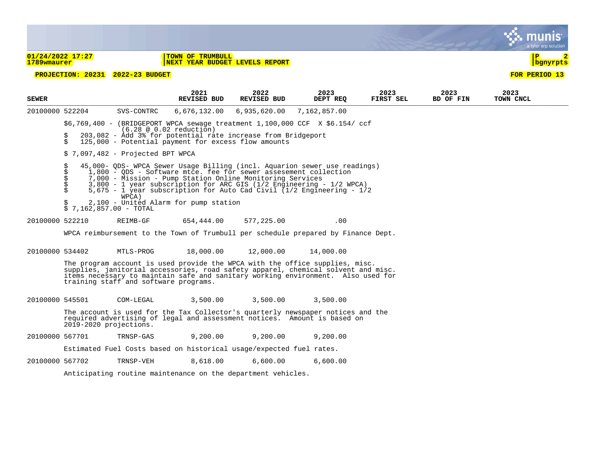|                                   |                                                                                                                                                                                                                                                                                                                                                                                                |                                                                                                                                                              |                                                    |                            |                                                                                                                                                                                                                                                       |                   |                   | a tyler erp solution              |  |
|-----------------------------------|------------------------------------------------------------------------------------------------------------------------------------------------------------------------------------------------------------------------------------------------------------------------------------------------------------------------------------------------------------------------------------------------|--------------------------------------------------------------------------------------------------------------------------------------------------------------|----------------------------------------------------|----------------------------|-------------------------------------------------------------------------------------------------------------------------------------------------------------------------------------------------------------------------------------------------------|-------------------|-------------------|-----------------------------------|--|
| $01/24/2022$ 17:27<br>1789wmaurer |                                                                                                                                                                                                                                                                                                                                                                                                |                                                                                                                                                              | TOWN OF TRUMBULL<br>NEXT YEAR BUDGET LEVELS REPORT |                            |                                                                                                                                                                                                                                                       |                   |                   | $\mathbf{P}$<br><u>  bgnyrpts</u> |  |
|                                   |                                                                                                                                                                                                                                                                                                                                                                                                | PROJECTION: 20231 2022-23 BUDGET                                                                                                                             |                                                    |                            |                                                                                                                                                                                                                                                       |                   |                   | FOR PERIOD 13                     |  |
| <b>SEWER</b>                      |                                                                                                                                                                                                                                                                                                                                                                                                |                                                                                                                                                              | 2021<br><b>REVISED BUD</b>                         | 2022<br><b>REVISED BUD</b> | 2023<br>DEPT REQ                                                                                                                                                                                                                                      | 2023<br>FIRST SEL | 2023<br>BD OF FIN | 2023<br>TOWN CNCL                 |  |
| 20100000 522204                   |                                                                                                                                                                                                                                                                                                                                                                                                | SVS-CONTRC                                                                                                                                                   | 6,676,132.00                                       | 6,935,620.00               | 7,162,857.00                                                                                                                                                                                                                                          |                   |                   |                                   |  |
|                                   | \$<br>Ś.                                                                                                                                                                                                                                                                                                                                                                                       | $(6.28 \circ 0.02 \text{ reduction})$<br>203,082 - Add 3% for potential rate increase from Bridgeport<br>125,000 - Potential payment for excess flow amounts |                                                    |                            | $$6,769,400$ - (BRIDGEPORT WPCA sewage treatment 1,100,000 CCF X $$6.154/$ ccf                                                                                                                                                                        |                   |                   |                                   |  |
|                                   |                                                                                                                                                                                                                                                                                                                                                                                                | $$7,097,482$ - Projected BPT WPCA                                                                                                                            |                                                    |                            |                                                                                                                                                                                                                                                       |                   |                   |                                   |  |
|                                   | \$<br>45,000- QDS- WPCA Sewer Usage Billing (incl. Aquarion sewer use readings)<br>\$<br>1,800 - QDS - Software mtce. fee for sewer assesement collection<br>\$<br>7,000 - Mission - Pump Station Online Monitoring Services<br>\$<br>3,800 - 1 year subscription for ARC GIS (1/2 Engineering - 1/2 WPCA)<br>5,675 - 1 year subscription for Auto Cad Civil (1/2 Engineering - $1/2$<br>WPCA) |                                                                                                                                                              |                                                    |                            |                                                                                                                                                                                                                                                       |                   |                   |                                   |  |
|                                   |                                                                                                                                                                                                                                                                                                                                                                                                | 2,100 - United Alarm for pump station<br>7,162,857.00 - TOTAL                                                                                                |                                                    |                            |                                                                                                                                                                                                                                                       |                   |                   |                                   |  |
| 20100000 522210                   |                                                                                                                                                                                                                                                                                                                                                                                                | REIMB-GF                                                                                                                                                     | 654,444.00                                         | 577,225.00                 | .00                                                                                                                                                                                                                                                   |                   |                   |                                   |  |
|                                   |                                                                                                                                                                                                                                                                                                                                                                                                |                                                                                                                                                              |                                                    |                            | WPCA reimbursement to the Town of Trumbull per schedule prepared by Finance Dept.                                                                                                                                                                     |                   |                   |                                   |  |
| 20100000 534402                   |                                                                                                                                                                                                                                                                                                                                                                                                | MTLS-PROG                                                                                                                                                    | 18,000.00                                          | 12,000.00                  | 14,000.00                                                                                                                                                                                                                                             |                   |                   |                                   |  |
|                                   |                                                                                                                                                                                                                                                                                                                                                                                                | training staff and software programs.                                                                                                                        |                                                    |                            | The program account is used provide the WPCA with the office supplies, misc.<br>supplies, janitorial accessories, road safety apparel, chemical solvent and misc.<br>items necessary to maintain safe and sanitary working environment. Also used for |                   |                   |                                   |  |
| 20100000 545501                   |                                                                                                                                                                                                                                                                                                                                                                                                | COM-LEGAL                                                                                                                                                    | 3,500.00                                           | 3,500.00                   | 3,500.00                                                                                                                                                                                                                                              |                   |                   |                                   |  |
|                                   | 2019-2020 projections.                                                                                                                                                                                                                                                                                                                                                                         |                                                                                                                                                              |                                                    |                            | The account is used for the Tax Collector's quarterly newspaper notices and the<br>required advertising of legal and assessment notices. Amount is based on                                                                                           |                   |                   |                                   |  |
| 20100000 567701                   |                                                                                                                                                                                                                                                                                                                                                                                                | TRNSP-GAS                                                                                                                                                    | 9,200.00                                           | 9,200.00                   | 9,200.00                                                                                                                                                                                                                                              |                   |                   |                                   |  |
|                                   |                                                                                                                                                                                                                                                                                                                                                                                                | Estimated Fuel Costs based on historical usage/expected fuel rates.                                                                                          |                                                    |                            |                                                                                                                                                                                                                                                       |                   |                   |                                   |  |
| 20100000 567702                   |                                                                                                                                                                                                                                                                                                                                                                                                | TRNSP-VEH                                                                                                                                                    | 8,618.00                                           | 6,600.00                   | 6,600.00                                                                                                                                                                                                                                              |                   |                   |                                   |  |
|                                   |                                                                                                                                                                                                                                                                                                                                                                                                | Anticipating routine maintenance on the department vehicles.                                                                                                 |                                                    |                            |                                                                                                                                                                                                                                                       |                   |                   |                                   |  |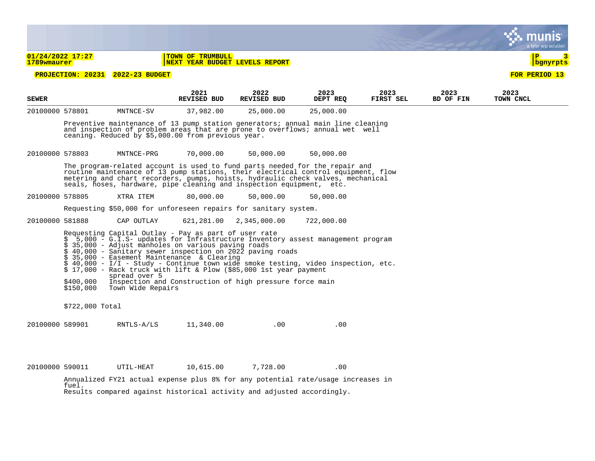|                 |                                                                                                                                                                                                                                                                                                                                                                                                                                                                                                |                                                    |                                                    |                                                                      |                                                                                                                                                                                                                                                     |                   |                   | a tyler erp solutior     |  |
|-----------------|------------------------------------------------------------------------------------------------------------------------------------------------------------------------------------------------------------------------------------------------------------------------------------------------------------------------------------------------------------------------------------------------------------------------------------------------------------------------------------------------|----------------------------------------------------|----------------------------------------------------|----------------------------------------------------------------------|-----------------------------------------------------------------------------------------------------------------------------------------------------------------------------------------------------------------------------------------------------|-------------------|-------------------|--------------------------|--|
| 1789wmaurer     | $01/24/2022$ 17:27                                                                                                                                                                                                                                                                                                                                                                                                                                                                             |                                                    | TOWN OF TRUMBULL<br>NEXT YEAR BUDGET LEVELS REPORT |                                                                      |                                                                                                                                                                                                                                                     |                   |                   | $\mathbf{P}$<br>bgnyrpts |  |
|                 |                                                                                                                                                                                                                                                                                                                                                                                                                                                                                                | PROJECTION: 20231 2022-23 BUDGET                   |                                                    |                                                                      |                                                                                                                                                                                                                                                     |                   |                   | FOR PERIOD 13            |  |
| <b>SEWER</b>    |                                                                                                                                                                                                                                                                                                                                                                                                                                                                                                |                                                    | 2021<br><b>REVISED BUD</b>                         | 2022<br><b>REVISED BUD</b>                                           | 2023<br>DEPT REQ                                                                                                                                                                                                                                    | 2023<br>FIRST SEL | 2023<br>BD OF FIN | 2023<br>TOWN CNCL        |  |
| 20100000 578801 |                                                                                                                                                                                                                                                                                                                                                                                                                                                                                                | MNTNCE-SV                                          | 37,982.00                                          | 25,000.00                                                            | 25,000.00                                                                                                                                                                                                                                           |                   |                   |                          |  |
|                 |                                                                                                                                                                                                                                                                                                                                                                                                                                                                                                | ceaning. Reduced by \$5,000.00 from previous year. |                                                    |                                                                      | Preventive maintenance of 13 pump station generators; annual main line cleaning<br>and inspection of problem areas that are prone to overflows; annual wet well                                                                                     |                   |                   |                          |  |
| 20100000 578803 |                                                                                                                                                                                                                                                                                                                                                                                                                                                                                                | MNTNCE-PRG                                         | 70,000.00                                          | 50,000.00                                                            | 50,000.00                                                                                                                                                                                                                                           |                   |                   |                          |  |
|                 |                                                                                                                                                                                                                                                                                                                                                                                                                                                                                                |                                                    |                                                    | seals, hoses, hardware, pipe cleaning and inspection equipment, etc. | The program-related account is used to fund parts needed for the repair and<br>routine maintenance of 13 pump stations, their electrical control equipment, flow<br>metering and chart recorders, pumps, hoists, hydraulic check valves, mechanical |                   |                   |                          |  |
| 20100000 578805 |                                                                                                                                                                                                                                                                                                                                                                                                                                                                                                | XTRA ITEM                                          | 80,000.00                                          | 50,000.00                                                            | 50,000.00                                                                                                                                                                                                                                           |                   |                   |                          |  |
|                 |                                                                                                                                                                                                                                                                                                                                                                                                                                                                                                |                                                    |                                                    | Requesting \$50,000 for unforeseen repairs for sanitary system.      |                                                                                                                                                                                                                                                     |                   |                   |                          |  |
| 20100000 581888 |                                                                                                                                                                                                                                                                                                                                                                                                                                                                                                | CAP OUTLAY                                         | 621,281.00                                         | 2,345,000.00                                                         | 722,000.00                                                                                                                                                                                                                                          |                   |                   |                          |  |
|                 | Requesting Capital Outlay - Pay as part of user rate<br>$$5,000 - G.I.S-$ updates for Infrastructure Inventory assest management program<br>\$ 35,000 - Adjust manholes on various paving roads<br>\$ 40,000 - Sanitary sewer inspection on 2022 paving roads<br>$\frac{1}{5}$ 35,000 - Easement Maintenance & Clearing<br>$\frac{1}{5}$ 40,000 - I/I - Study - Continue town wide smoke testing, video inspection, etc.<br>$$17,000$ - Rack truck with lift & Plow (\$85,000 1st year payment |                                                    |                                                    |                                                                      |                                                                                                                                                                                                                                                     |                   |                   |                          |  |
|                 | \$400,000<br>\$150,000                                                                                                                                                                                                                                                                                                                                                                                                                                                                         | spread over 5<br>Town Wide Repairs                 |                                                    | Inspection and Construction of high pressure force main              |                                                                                                                                                                                                                                                     |                   |                   |                          |  |
|                 | $$722,000$ Total                                                                                                                                                                                                                                                                                                                                                                                                                                                                               |                                                    |                                                    |                                                                      |                                                                                                                                                                                                                                                     |                   |                   |                          |  |
| 20100000 589901 |                                                                                                                                                                                                                                                                                                                                                                                                                                                                                                | RNTLS-A/LS                                         | 11,340.00                                          | .00                                                                  | .00                                                                                                                                                                                                                                                 |                   |                   |                          |  |
| 20100000 590011 |                                                                                                                                                                                                                                                                                                                                                                                                                                                                                                | UTIL-HEAT                                          | 10,615.00                                          | 7,728.00                                                             | .00                                                                                                                                                                                                                                                 |                   |                   |                          |  |

Annualized FY21 actual expense plus 8% for any potential rate/usage increases in fuel. Results compared against historical activity and adjusted accordingly.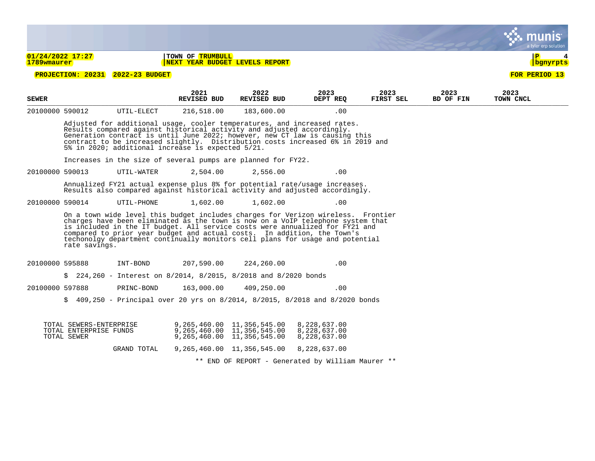|                 |                                                                                                                                                                                                                                                                                                                                                                                                                                  |                       |                                                                                                                                                                                                                                                                                                                                                                          |                            |                                                   |                   |                   | a tyler erp solutior     |
|-----------------|----------------------------------------------------------------------------------------------------------------------------------------------------------------------------------------------------------------------------------------------------------------------------------------------------------------------------------------------------------------------------------------------------------------------------------|-----------------------|--------------------------------------------------------------------------------------------------------------------------------------------------------------------------------------------------------------------------------------------------------------------------------------------------------------------------------------------------------------------------|----------------------------|---------------------------------------------------|-------------------|-------------------|--------------------------|
| 1789wmaurer     | 01/24/2022 17:27                                                                                                                                                                                                                                                                                                                                                                                                                 |                       | TOWN OF TRUMBULL<br>NEXT YEAR BUDGET LEVELS REPORT                                                                                                                                                                                                                                                                                                                       |                            |                                                   |                   |                   | $\mathbf{P}$<br>bgnyrpts |
|                 | <b>PROJECTION: 20231</b>                                                                                                                                                                                                                                                                                                                                                                                                         | <b>2022-23 BUDGET</b> |                                                                                                                                                                                                                                                                                                                                                                          |                            |                                                   |                   |                   | FOR PERIOD 13            |
| <b>SEWER</b>    |                                                                                                                                                                                                                                                                                                                                                                                                                                  |                       | 2021<br><b>REVISED BUD</b>                                                                                                                                                                                                                                                                                                                                               | 2022<br><b>REVISED BUD</b> | 2023<br>DEPT REO                                  | 2023<br>FIRST SEL | 2023<br>BD OF FIN | 2023<br>TOWN CNCL        |
| 20100000 590012 |                                                                                                                                                                                                                                                                                                                                                                                                                                  | UTIL-ELECT            | 216,518.00                                                                                                                                                                                                                                                                                                                                                               | 183,600.00                 | .00                                               |                   |                   |                          |
|                 |                                                                                                                                                                                                                                                                                                                                                                                                                                  |                       | Adjusted for additional usage, cooler temperatures, and increased rates.<br>Results compared against historical activity and adjusted accordingly.<br>Generation contract is until June 2022; however, new CT law is causing this<br>contract to be increased slightly. Distribution costs increased 6% in 2019 and<br>5% in 2020; additional increase is expected 5/21. |                            |                                                   |                   |                   |                          |
|                 |                                                                                                                                                                                                                                                                                                                                                                                                                                  |                       | Increases in the size of several pumps are planned for FY22.                                                                                                                                                                                                                                                                                                             |                            |                                                   |                   |                   |                          |
| 20100000 590013 |                                                                                                                                                                                                                                                                                                                                                                                                                                  | UTIL-WATER            | 2,504.00                                                                                                                                                                                                                                                                                                                                                                 | 2,556.00                   | .00                                               |                   |                   |                          |
|                 |                                                                                                                                                                                                                                                                                                                                                                                                                                  |                       | Annualized FY21 actual expense plus 8% for potential rate/usage increases.<br>Results also compared against historical activity and adjusted accordingly.                                                                                                                                                                                                                |                            |                                                   |                   |                   |                          |
| 20100000 590014 |                                                                                                                                                                                                                                                                                                                                                                                                                                  | UTIL-PHONE            | 1,602.00                                                                                                                                                                                                                                                                                                                                                                 | 1,602.00                   | .00                                               |                   |                   |                          |
|                 | On a town wide level this budget includes charges for Verizon wireless. Frontier<br>charges have been eliminated as the town is now on a VoIP telephone system that<br>is included in the IT budget. All service costs were annualized for FY21 and<br>compared to prior year budget and actual costs. In addition, the Town's<br>techonolgy department continually monitors cell plans for usage and potential<br>rate savings. |                       |                                                                                                                                                                                                                                                                                                                                                                          |                            |                                                   |                   |                   |                          |
| 20100000 595888 |                                                                                                                                                                                                                                                                                                                                                                                                                                  | INT-BOND              | 207,590.00                                                                                                                                                                                                                                                                                                                                                               | 224,260.00                 | .00                                               |                   |                   |                          |
|                 |                                                                                                                                                                                                                                                                                                                                                                                                                                  |                       | 224,260 - Interest on 8/2014, 8/2015, 8/2018 and 8/2020 bonds                                                                                                                                                                                                                                                                                                            |                            |                                                   |                   |                   |                          |
| 20100000 597888 |                                                                                                                                                                                                                                                                                                                                                                                                                                  | PRINC-BOND            | 163,000.00                                                                                                                                                                                                                                                                                                                                                               | 409,250.00                 | .00                                               |                   |                   |                          |
|                 |                                                                                                                                                                                                                                                                                                                                                                                                                                  |                       | \$ 409,250 - Principal over 20 yrs on 8/2014, 8/2015, 8/2018 and 8/2020 bonds                                                                                                                                                                                                                                                                                            |                            |                                                   |                   |                   |                          |
|                 | TOTAL SEWERS-ENTERPRISE<br>TOTAL ENTERPRISE FUNDS<br>TOTAL SEWER                                                                                                                                                                                                                                                                                                                                                                 |                       | 9,265,460.00 11,356,545.00<br>9,265,460.00 11,356,545.00<br>9,265,460.00 11,356,545.00                                                                                                                                                                                                                                                                                   |                            | 8,228,637.00<br>8,228,637.00<br>8,228,637.00      |                   |                   |                          |
|                 |                                                                                                                                                                                                                                                                                                                                                                                                                                  | GRAND TOTAL           | 9, 265, 460.00 11, 356, 545.00                                                                                                                                                                                                                                                                                                                                           |                            | 8,228,637.00                                      |                   |                   |                          |
|                 |                                                                                                                                                                                                                                                                                                                                                                                                                                  |                       |                                                                                                                                                                                                                                                                                                                                                                          |                            | ** END OF REPORT - Generated by William Maurer ** |                   |                   |                          |